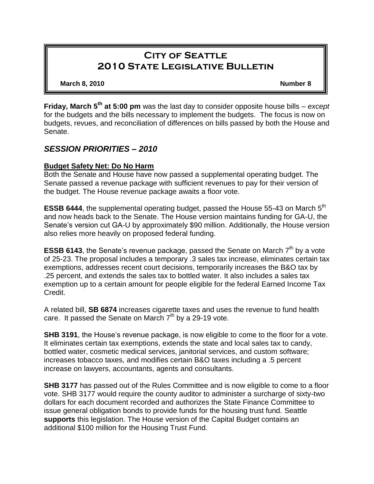# **City of Seattle 2010 State Legislative Bulletin**

**March 8, 2010 Number 8**

**Friday, March 5th at 5:00 pm** was the last day to consider opposite house bills – *except* for the budgets and the bills necessary to implement the budgets. The focus is now on budgets, revues, and reconciliation of differences on bills passed by both the House and Senate.

# *SESSION PRIORITIES – 2010*

## **Budget Safety Net: Do No Harm**

Both the Senate and House have now passed a supplemental operating budget. The Senate passed a revenue package with sufficient revenues to pay for their version of the budget. The House revenue package awaits a floor vote.

**ESSB 6444**, the supplemental operating budget, passed the House 55-43 on March 5<sup>th</sup> and now heads back to the Senate. The House version maintains funding for GA-U, the Senate's version cut GA-U by approximately \$90 million. Additionally, the House version also relies more heavily on proposed federal funding.

**ESSB 6143**, the Senate's revenue package, passed the Senate on March 7<sup>th</sup> by a vote of 25-23. The proposal includes a temporary .3 sales tax increase, eliminates certain tax exemptions, addresses recent court decisions, temporarily increases the B&O tax by .25 percent, and extends the sales tax to bottled water. It also includes a sales tax exemption up to a certain amount for people eligible for the federal Earned Income Tax Credit.

A related bill, **SB 6874** increases cigarette taxes and uses the revenue to fund health care. It passed the Senate on March  $7<sup>th</sup>$  by a 29-19 vote.

**SHB 3191**, the House's revenue package, is now eligible to come to the floor for a vote. It eliminates certain tax exemptions, extends the state and local sales tax to candy, bottled water, cosmetic medical services, janitorial services, and custom software; increases tobacco taxes, and modifies certain B&O taxes including a .5 percent increase on lawyers, accountants, agents and consultants.

**SHB 3177** has passed out of the Rules Committee and is now eligible to come to a floor vote. SHB 3177 would require the county auditor to administer a surcharge of sixty-two dollars for each document recorded and authorizes the State Finance Committee to issue general obligation bonds to provide funds for the housing trust fund. Seattle **supports** this legislation. The House version of the Capital Budget contains an additional \$100 million for the Housing Trust Fund.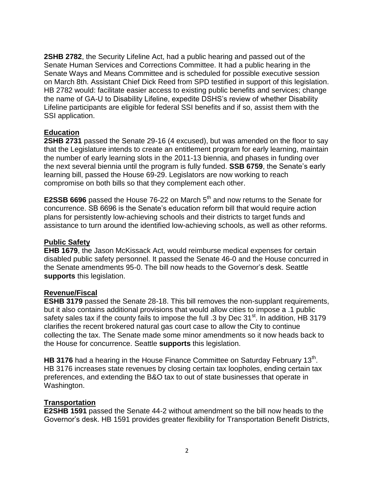**2SHB 2782**, the Security Lifeline Act, had a public hearing and passed out of the Senate Human Services and Corrections Committee. It had a public hearing in the Senate Ways and Means Committee and is scheduled for possible executive session on March 8th. Assistant Chief Dick Reed from SPD testified in support of this legislation. HB 2782 would: facilitate easier access to existing public benefits and services; change the name of GA-U to Disability Lifeline, expedite DSHS's review of whether Disability Lifeline participants are eligible for federal SSI benefits and if so, assist them with the SSI application.

### **Education**

**2SHB 2731** passed the Senate 29-16 (4 excused), but was amended on the floor to say that the Legislature intends to create an entitlement program for early learning, maintain the number of early learning slots in the 2011-13 biennia, and phases in funding over the next several biennia until the program is fully funded. **SSB 6759**, the Senate's early learning bill, passed the House 69-29. Legislators are now working to reach compromise on both bills so that they complement each other.

**E2SSB 6696** passed the House 76-22 on March 5<sup>th</sup> and now returns to the Senate for concurrence. SB 6696 is the Senate's education reform bill that would require action plans for persistently low-achieving schools and their districts to target funds and assistance to turn around the identified low-achieving schools, as well as other reforms.

### **Public Safety**

**EHB 1679**, the Jason McKissack Act, would reimburse medical expenses for certain disabled public safety personnel. It passed the Senate 46-0 and the House concurred in the Senate amendments 95-0. The bill now heads to the Governor's desk. Seattle **supports** this legislation.

### **Revenue/Fiscal**

**ESHB 3179** passed the Senate 28-18. This bill removes the non-supplant requirements, but it also contains additional provisions that would allow cities to impose a .1 public safety sales tax if the county fails to impose the full .3 by Dec 31<sup>st</sup>. In addition, HB 3179 clarifies the recent brokered natural gas court case to allow the City to continue collecting the tax. The Senate made some minor amendments so it now heads back to the House for concurrence. Seattle **supports** this legislation.

HB 3176 had a hearing in the House Finance Committee on Saturday February 13<sup>th</sup>. HB 3176 increases state revenues by closing certain tax loopholes, ending certain tax preferences, and extending the B&O tax to out of state businesses that operate in Washington.

### **Transportation**

**E2SHB 1591** passed the Senate 44-2 without amendment so the bill now heads to the Governor's desk. HB 1591 provides greater flexibility for Transportation Benefit Districts,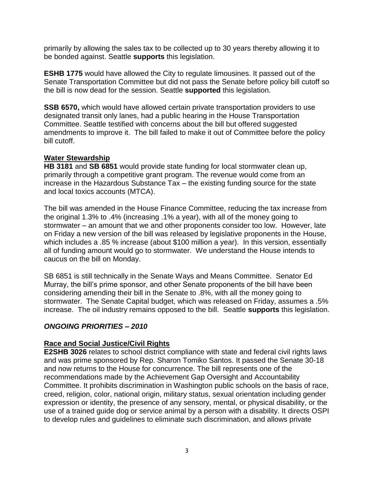primarily by allowing the sales tax to be collected up to 30 years thereby allowing it to be bonded against. Seattle **supports** this legislation.

**ESHB 1775** would have allowed the City to regulate limousines. It passed out of the Senate Transportation Committee but did not pass the Senate before policy bill cutoff so the bill is now dead for the session. Seattle **supported** this legislation.

**SSB 6570,** which would have allowed certain private transportation providers to use designated transit only lanes, had a public hearing in the House Transportation Committee. Seattle testified with concerns about the bill but offered suggested amendments to improve it. The bill failed to make it out of Committee before the policy bill cutoff.

### **Water Stewardship**

**HB 3181** and **SB 6851** would provide state funding for local stormwater clean up, primarily through a competitive grant program. The revenue would come from an increase in the Hazardous Substance Tax – the existing funding source for the state and local toxics accounts (MTCA).

The bill was amended in the House Finance Committee, reducing the tax increase from the original 1.3% to .4% (increasing .1% a year), with all of the money going to stormwater – an amount that we and other proponents consider too low. However, late on Friday a new version of the bill was released by legislative proponents in the House, which includes a .85 % increase (about \$100 million a year). In this version, essentially all of funding amount would go to stormwater. We understand the House intends to caucus on the bill on Monday.

SB 6851 is still technically in the Senate Ways and Means Committee. Senator Ed Murray, the bill's prime sponsor, and other Senate proponents of the bill have been considering amending their bill in the Senate to .8%, with all the money going to stormwater. The Senate Capital budget, which was released on Friday, assumes a .5% increase. The oil industry remains opposed to the bill. Seattle **supports** this legislation.

# *ONGOING PRIORITIES – 2010*

# **Race and Social Justice/Civil Rights**

**E2SHB 3026** relates to school district compliance with state and federal civil rights laws and was prime sponsored by Rep. Sharon Tomiko Santos. It passed the Senate 30-18 and now returns to the House for concurrence. The bill represents one of the recommendations made by the Achievement Gap Oversight and Accountability Committee. It prohibits discrimination in Washington public schools on the basis of race, creed, religion, color, national origin, military status, sexual orientation including gender expression or identity, the presence of any sensory, mental, or physical disability, or the use of a trained guide dog or service animal by a person with a disability. It directs OSPI to develop rules and guidelines to eliminate such discrimination, and allows private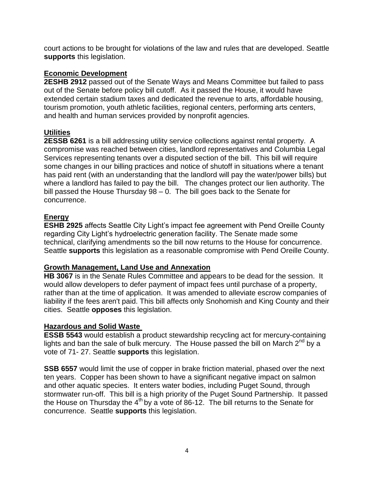court actions to be brought for violations of the law and rules that are developed. Seattle **supports** this legislation.

### **Economic Development**

**2ESHB 2912** passed out of the Senate Ways and Means Committee but failed to pass out of the Senate before policy bill cutoff. As it passed the House, it would have extended certain stadium taxes and dedicated the revenue to arts, affordable housing, tourism promotion, youth athletic facilities, regional centers, performing arts centers, and health and human services provided by nonprofit agencies.

## **Utilities**

**2ESSB 6261** is a bill addressing utility service collections against rental property. A compromise was reached between cities, landlord representatives and Columbia Legal Services representing tenants over a disputed section of the bill. This bill will require some changes in our billing practices and notice of shutoff in situations where a tenant has paid rent (with an understanding that the landlord will pay the water/power bills) but where a landlord has failed to pay the bill. The changes protect our lien authority. The bill passed the House Thursday 98 – 0. The bill goes back to the Senate for concurrence.

## **Energy**

**ESHB 2925** affects Seattle City Light's impact fee agreement with Pend Oreille County regarding City Light's hydroelectric generation facility. The Senate made some technical, clarifying amendments so the bill now returns to the House for concurrence. Seattle **supports** this legislation as a reasonable compromise with Pend Oreille County.

### **Growth Management, Land Use and Annexation**

**HB 3067** is in the Senate Rules Committee and appears to be dead for the session. It would allow developers to defer payment of impact fees until purchase of a property, rather than at the time of application. It was amended to alleviate escrow companies of liability if the fees aren't paid. This bill affects only Snohomish and King County and their cities. Seattle **opposes** this legislation.

### **Hazardous and Solid Waste**

**ESSB 5543** would establish a product stewardship recycling act for mercury-containing lights and ban the sale of bulk mercury. The House passed the bill on March  $2^{nd}$  by a vote of 71- 27. Seattle **supports** this legislation.

**SSB 6557** would limit the use of copper in brake friction material, phased over the next ten years. Copper has been shown to have a significant negative impact on salmon and other aquatic species. It enters water bodies, including Puget Sound, through stormwater run-off. This bill is a high priority of the Puget Sound Partnership. It passed the House on Thursday the  $4<sup>th</sup>$  by a vote of 86-12. The bill returns to the Senate for concurrence. Seattle **supports** this legislation.